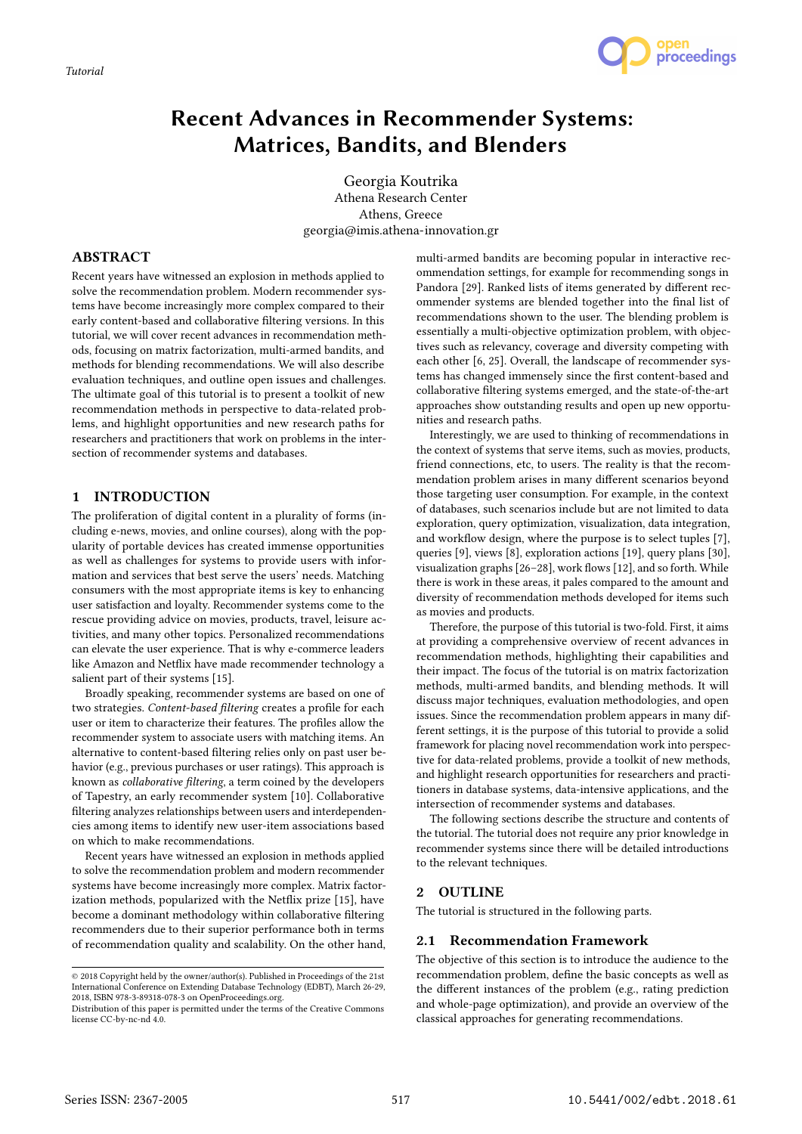

# Recent Advances in Recommender Systems: Matrices, Bandits, and Blenders

Georgia Koutrika Athena Research Center Athens, Greece georgia@imis.athena-innovation.gr

## ABSTRACT

Recent years have witnessed an explosion in methods applied to solve the recommendation problem. Modern recommender systems have become increasingly more complex compared to their early content-based and collaborative filtering versions. In this tutorial, we will cover recent advances in recommendation methods, focusing on matrix factorization, multi-armed bandits, and methods for blending recommendations. We will also describe evaluation techniques, and outline open issues and challenges. The ultimate goal of this tutorial is to present a toolkit of new recommendation methods in perspective to data-related problems, and highlight opportunities and new research paths for researchers and practitioners that work on problems in the intersection of recommender systems and databases.

## 1 INTRODUCTION

The proliferation of digital content in a plurality of forms (including e-news, movies, and online courses), along with the popularity of portable devices has created immense opportunities as well as challenges for systems to provide users with information and services that best serve the users' needs. Matching consumers with the most appropriate items is key to enhancing user satisfaction and loyalty. Recommender systems come to the rescue providing advice on movies, products, travel, leisure activities, and many other topics. Personalized recommendations can elevate the user experience. That is why e-commerce leaders like Amazon and Netflix have made recommender technology a salient part of their systems [15].

Broadly speaking, recommender systems are based on one of two strategies. Content-based filtering creates a profile for each user or item to characterize their features. The profiles allow the recommender system to associate users with matching items. An alternative to content-based filtering relies only on past user behavior (e.g., previous purchases or user ratings). This approach is known as collaborative filtering, a term coined by the developers of Tapestry, an early recommender system [10]. Collaborative filtering analyzes relationships between users and interdependencies among items to identify new user-item associations based on which to make recommendations.

Recent years have witnessed an explosion in methods applied to solve the recommendation problem and modern recommender systems have become increasingly more complex. Matrix factorization methods, popularized with the Netflix prize [15], have become a dominant methodology within collaborative filtering recommenders due to their superior performance both in terms of recommendation quality and scalability. On the other hand, multi-armed bandits are becoming popular in interactive recommendation settings, for example for recommending songs in Pandora [29]. Ranked lists of items generated by different recommender systems are blended together into the final list of recommendations shown to the user. The blending problem is essentially a multi-objective optimization problem, with objectives such as relevancy, coverage and diversity competing with each other [6, 25]. Overall, the landscape of recommender systems has changed immensely since the first content-based and collaborative filtering systems emerged, and the state-of-the-art approaches show outstanding results and open up new opportunities and research paths.

Interestingly, we are used to thinking of recommendations in the context of systems that serve items, such as movies, products, friend connections, etc, to users. The reality is that the recommendation problem arises in many different scenarios beyond those targeting user consumption. For example, in the context of databases, such scenarios include but are not limited to data exploration, query optimization, visualization, data integration, and workflow design, where the purpose is to select tuples [7], queries [9], views [8], exploration actions [19], query plans [30], visualization graphs [26–28], work flows [12], and so forth. While there is work in these areas, it pales compared to the amount and diversity of recommendation methods developed for items such as movies and products.

Therefore, the purpose of this tutorial is two-fold. First, it aims at providing a comprehensive overview of recent advances in recommendation methods, highlighting their capabilities and their impact. The focus of the tutorial is on matrix factorization methods, multi-armed bandits, and blending methods. It will discuss major techniques, evaluation methodologies, and open issues. Since the recommendation problem appears in many different settings, it is the purpose of this tutorial to provide a solid framework for placing novel recommendation work into perspective for data-related problems, provide a toolkit of new methods, and highlight research opportunities for researchers and practitioners in database systems, data-intensive applications, and the intersection of recommender systems and databases.

The following sections describe the structure and contents of the tutorial. The tutorial does not require any prior knowledge in recommender systems since there will be detailed introductions to the relevant techniques.

## 2 OUTLINE

The tutorial is structured in the following parts.

### 2.1 Recommendation Framework

The objective of this section is to introduce the audience to the recommendation problem, define the basic concepts as well as the different instances of the problem (e.g., rating prediction and whole-page optimization), and provide an overview of the classical approaches for generating recommendations.

<sup>©</sup> 2018 Copyright held by the owner/author(s). Published in Proceedings of the 21st International Conference on Extending Database Technology (EDBT), March 26-29, 2018, ISBN 978-3-89318-078-3 on OpenProceedings.org.

Distribution of this paper is permitted under the terms of the Creative Commons license CC-by-nc-nd 4.0.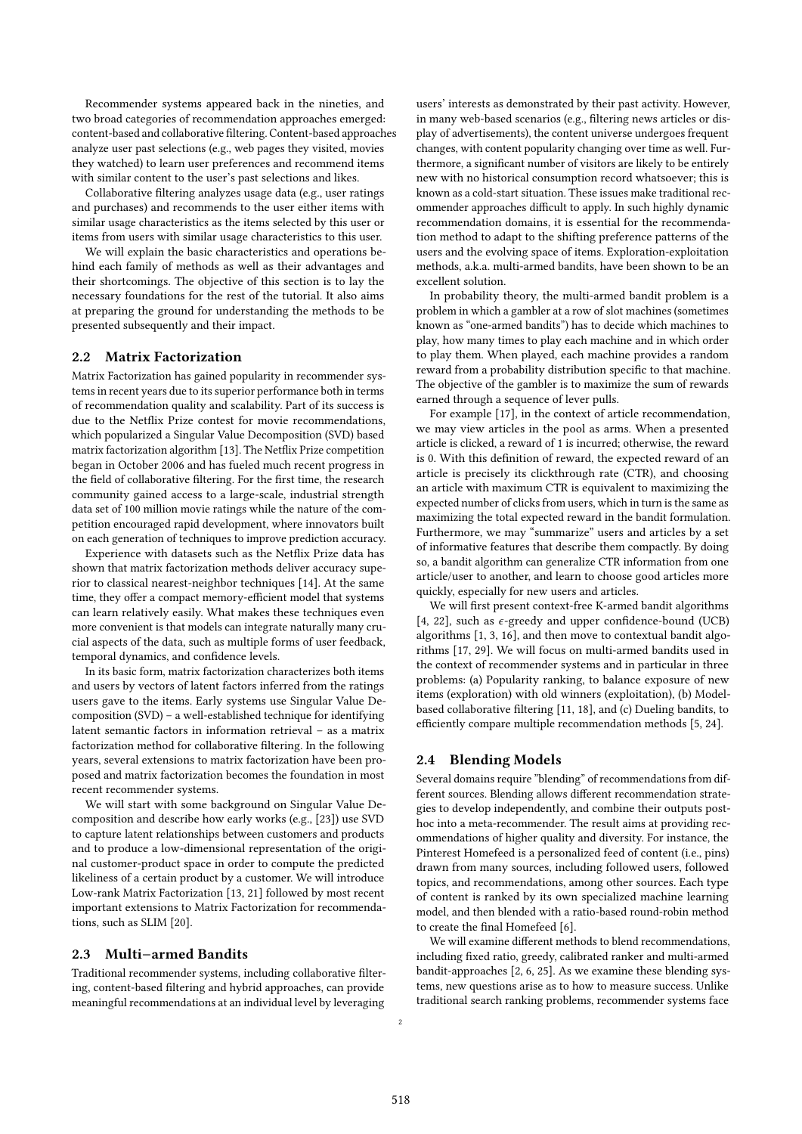Recommender systems appeared back in the nineties, and two broad categories of recommendation approaches emerged: content-based and collaborative filtering. Content-based approaches analyze user past selections (e.g., web pages they visited, movies they watched) to learn user preferences and recommend items with similar content to the user's past selections and likes.

Collaborative filtering analyzes usage data (e.g., user ratings and purchases) and recommends to the user either items with similar usage characteristics as the items selected by this user or items from users with similar usage characteristics to this user.

We will explain the basic characteristics and operations behind each family of methods as well as their advantages and their shortcomings. The objective of this section is to lay the necessary foundations for the rest of the tutorial. It also aims at preparing the ground for understanding the methods to be presented subsequently and their impact.

#### 2.2 Matrix Factorization

Matrix Factorization has gained popularity in recommender systems in recent years due to its superior performance both in terms of recommendation quality and scalability. Part of its success is due to the Netflix Prize contest for movie recommendations, which popularized a Singular Value Decomposition (SVD) based matrix factorization algorithm [13]. The Netflix Prize competition began in October 2006 and has fueled much recent progress in the field of collaborative filtering. For the first time, the research community gained access to a large-scale, industrial strength data set of 100 million movie ratings while the nature of the competition encouraged rapid development, where innovators built on each generation of techniques to improve prediction accuracy.

Experience with datasets such as the Netflix Prize data has shown that matrix factorization methods deliver accuracy superior to classical nearest-neighbor techniques [14]. At the same time, they offer a compact memory-efficient model that systems can learn relatively easily. What makes these techniques even more convenient is that models can integrate naturally many crucial aspects of the data, such as multiple forms of user feedback, temporal dynamics, and confidence levels.

In its basic form, matrix factorization characterizes both items and users by vectors of latent factors inferred from the ratings users gave to the items. Early systems use Singular Value Decomposition (SVD) – a well-established technique for identifying latent semantic factors in information retrieval – as a matrix factorization method for collaborative filtering. In the following years, several extensions to matrix factorization have been proposed and matrix factorization becomes the foundation in most recent recommender systems.

We will start with some background on Singular Value Decomposition and describe how early works (e.g., [23]) use SVD to capture latent relationships between customers and products and to produce a low-dimensional representation of the original customer-product space in order to compute the predicted likeliness of a certain product by a customer. We will introduce Low-rank Matrix Factorization [13, 21] followed by most recent important extensions to Matrix Factorization for recommendations, such as SLIM [20].

## 2.3 Multi−armed Bandits

Traditional recommender systems, including collaborative filtering, content-based filtering and hybrid approaches, can provide meaningful recommendations at an individual level by leveraging

users' interests as demonstrated by their past activity. However, in many web-based scenarios (e.g., filtering news articles or display of advertisements), the content universe undergoes frequent changes, with content popularity changing over time as well. Furthermore, a significant number of visitors are likely to be entirely new with no historical consumption record whatsoever; this is known as a cold-start situation. These issues make traditional recommender approaches difficult to apply. In such highly dynamic recommendation domains, it is essential for the recommendation method to adapt to the shifting preference patterns of the users and the evolving space of items. Exploration-exploitation methods, a.k.a. multi-armed bandits, have been shown to be an excellent solution.

In probability theory, the multi-armed bandit problem is a problem in which a gambler at a row of slot machines (sometimes known as "one-armed bandits") has to decide which machines to play, how many times to play each machine and in which order to play them. When played, each machine provides a random reward from a probability distribution specific to that machine. The objective of the gambler is to maximize the sum of rewards earned through a sequence of lever pulls.

For example [17], in the context of article recommendation, we may view articles in the pool as arms. When a presented article is clicked, a reward of 1 is incurred; otherwise, the reward is 0. With this definition of reward, the expected reward of an article is precisely its clickthrough rate (CTR), and choosing an article with maximum CTR is equivalent to maximizing the expected number of clicks from users, which in turn is the same as maximizing the total expected reward in the bandit formulation. Furthermore, we may "summarize" users and articles by a set of informative features that describe them compactly. By doing so, a bandit algorithm can generalize CTR information from one article/user to another, and learn to choose good articles more quickly, especially for new users and articles.

We will first present context-free K-armed bandit algorithms [4, 22], such as  $\epsilon$ -greedy and upper confidence-bound (UCB) algorithms [1, 3, 16], and then move to contextual bandit algorithms [17, 29]. We will focus on multi-armed bandits used in the context of recommender systems and in particular in three problems: (a) Popularity ranking, to balance exposure of new items (exploration) with old winners (exploitation), (b) Modelbased collaborative filtering [11, 18], and (c) Dueling bandits, to efficiently compare multiple recommendation methods [5, 24].

#### 2.4 Blending Models

Several domains require "blending" of recommendations from different sources. Blending allows different recommendation strategies to develop independently, and combine their outputs posthoc into a meta-recommender. The result aims at providing recommendations of higher quality and diversity. For instance, the Pinterest Homefeed is a personalized feed of content (i.e., pins) drawn from many sources, including followed users, followed topics, and recommendations, among other sources. Each type of content is ranked by its own specialized machine learning model, and then blended with a ratio-based round-robin method to create the final Homefeed [6].

We will examine different methods to blend recommendations, including fixed ratio, greedy, calibrated ranker and multi-armed bandit-approaches [2, 6, 25]. As we examine these blending systems, new questions arise as to how to measure success. Unlike traditional search ranking problems, recommender systems face